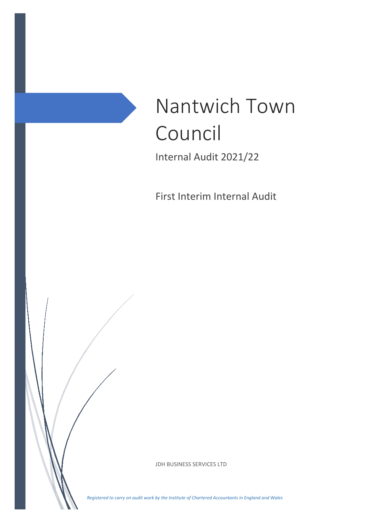

First Interim Internal Audit

JDH BUSINESS SERVICES LTD

*Registered to carry on audit work by the Institute of Chartered Accountants in England and Wales*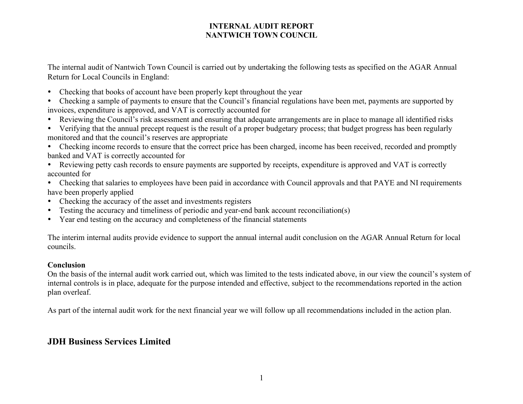The internal audit of Nantwich Town Council is carried out by undertaking the following tests as specified on the AGAR Annual Return for Local Councils in England:

Checking that books of account have been properly kept throughout the year

 Checking a sample of payments to ensure that the Council's financial regulations have been met, payments are supported by invoices, expenditure is approved, and VAT is correctly accounted for

- Reviewing the Council's risk assessment and ensuring that adequate arrangements are in place to manage all identified risks
- Verifying that the annual precept request is the result of a proper budgetary process; that budget progress has been regularly monitored and that the council's reserves are appropriate
- Checking income records to ensure that the correct price has been charged, income has been received, recorded and promptly banked and VAT is correctly accounted for
- Reviewing petty cash records to ensure payments are supported by receipts, expenditure is approved and VAT is correctly accounted for
- Checking that salaries to employees have been paid in accordance with Council approvals and that PAYE and NI requirements have been properly applied
- Checking the accuracy of the asset and investments registers
- Testing the accuracy and timeliness of periodic and year-end bank account reconciliation(s)
- Year end testing on the accuracy and completeness of the financial statements

The interim internal audits provide evidence to support the annual internal audit conclusion on the AGAR Annual Return for local councils.

#### **Conclusion**

On the basis of the internal audit work carried out, which was limited to the tests indicated above, in our view the council's system of internal controls is in place, adequate for the purpose intended and effective, subject to the recommendations reported in the action plan overleaf.

As part of the internal audit work for the next financial year we will follow up all recommendations included in the action plan.

# **JDH Business Services Limited**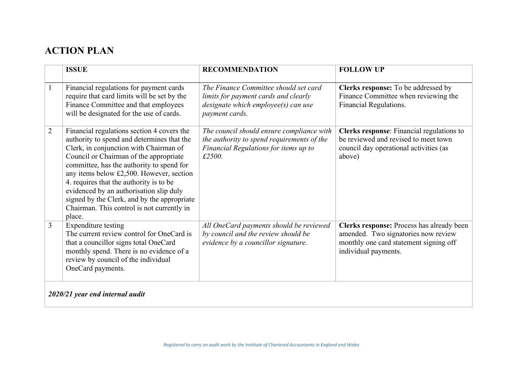# **ACTION PLAN**

|                | <b>ISSUE</b>                                                                                                                                                                                                                                                                                                                                                                                                                                                       | <b>RECOMMENDATION</b>                                                                                                                      | <b>FOLLOW UP</b>                                                                                                                                   |  |  |  |
|----------------|--------------------------------------------------------------------------------------------------------------------------------------------------------------------------------------------------------------------------------------------------------------------------------------------------------------------------------------------------------------------------------------------------------------------------------------------------------------------|--------------------------------------------------------------------------------------------------------------------------------------------|----------------------------------------------------------------------------------------------------------------------------------------------------|--|--|--|
| $\mathbf{1}$   | Financial regulations for payment cards<br>require that card limits will be set by the<br>Finance Committee and that employees<br>will be designated for the use of cards.                                                                                                                                                                                                                                                                                         | The Finance Committee should set card<br>limits for payment cards and clearly<br>designate which employee(s) can use<br>payment cards.     | Clerks response: To be addressed by<br>Finance Committee when reviewing the<br>Financial Regulations.                                              |  |  |  |
| $\overline{2}$ | Financial regulations section 4 covers the<br>authority to spend and determines that the<br>Clerk, in conjunction with Chairman of<br>Council or Chairman of the appropriate<br>committee, has the authority to spend for<br>any items below £2,500. However, section<br>4. requires that the authority is to be<br>evidenced by an authorisation slip duly<br>signed by the Clerk, and by the appropriate<br>Chairman. This control is not currently in<br>place. | The council should ensure compliance with<br>the authority to spend requirements of the<br>Financial Regulations for items up to<br>£2500. | Clerks response: Financial regulations to<br>be reviewed and revised to meet town<br>council day operational activities (as<br>above)              |  |  |  |
| 3              | Expenditure testing<br>The current review control for OneCard is<br>that a councillor signs total OneCard<br>monthly spend. There is no evidence of a<br>review by council of the individual<br>OneCard payments.                                                                                                                                                                                                                                                  | All OneCard payments should be reviewed<br>by council and the review should be<br>evidence by a councillor signature.                      | Clerks response: Process has already been<br>amended. Two signatories now review<br>monthly one card statement signing off<br>individual payments. |  |  |  |
|                | 2020/21 year end internal audit                                                                                                                                                                                                                                                                                                                                                                                                                                    |                                                                                                                                            |                                                                                                                                                    |  |  |  |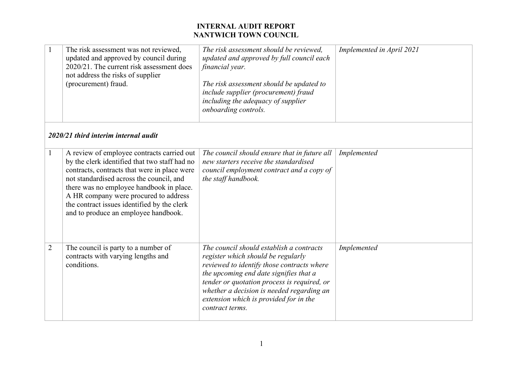| $\mathbf{1}$   | The risk assessment was not reviewed,<br>updated and approved by council during<br>2020/21. The current risk assessment does<br>not address the risks of supplier<br>(procurement) fraud.                                                                                                                                                                           | The risk assessment should be reviewed,<br>updated and approved by full council each<br>financial year.<br>The risk assessment should be updated to<br>include supplier (procurement) fraud<br>including the adequacy of supplier<br>onboarding controls.                                                                       | Implemented in April 2021 |
|----------------|---------------------------------------------------------------------------------------------------------------------------------------------------------------------------------------------------------------------------------------------------------------------------------------------------------------------------------------------------------------------|---------------------------------------------------------------------------------------------------------------------------------------------------------------------------------------------------------------------------------------------------------------------------------------------------------------------------------|---------------------------|
|                | 2020/21 third interim internal audit                                                                                                                                                                                                                                                                                                                                |                                                                                                                                                                                                                                                                                                                                 |                           |
| $\mathbf{1}$   | A review of employee contracts carried out<br>by the clerk identified that two staff had no<br>contracts, contracts that were in place were<br>not standardised across the council, and<br>there was no employee handbook in place.<br>A HR company were procured to address<br>the contract issues identified by the clerk<br>and to produce an employee handbook. | The council should ensure that in future all<br>new starters receive the standardised<br>council employment contract and a copy of<br>the staff handbook.                                                                                                                                                                       | Implemented               |
| $\overline{2}$ | The council is party to a number of<br>contracts with varying lengths and<br>conditions.                                                                                                                                                                                                                                                                            | The council should establish a contracts<br>register which should be regularly<br>reviewed to identify those contracts where<br>the upcoming end date signifies that a<br>tender or quotation process is required, or<br>whether a decision is needed regarding an<br>extension which is provided for in the<br>contract terms. | Implemented               |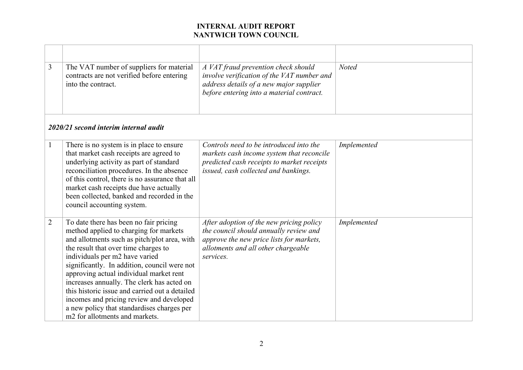| $\overline{3}$ | The VAT number of suppliers for material<br>contracts are not verified before entering<br>into the contract.                                                                                                                                                                                                                                                                                                                                                                                                                      | A VAT fraud prevention check should<br>involve verification of the VAT number and<br>address details of a new major supplier<br>before entering into a material contract.          | <b>Noted</b> |
|----------------|-----------------------------------------------------------------------------------------------------------------------------------------------------------------------------------------------------------------------------------------------------------------------------------------------------------------------------------------------------------------------------------------------------------------------------------------------------------------------------------------------------------------------------------|------------------------------------------------------------------------------------------------------------------------------------------------------------------------------------|--------------|
|                | 2020/21 second interim internal audit                                                                                                                                                                                                                                                                                                                                                                                                                                                                                             |                                                                                                                                                                                    |              |
| $\mathbf{1}$   | There is no system is in place to ensure<br>that market cash receipts are agreed to<br>underlying activity as part of standard<br>reconciliation procedures. In the absence<br>of this control, there is no assurance that all<br>market cash receipts due have actually<br>been collected, banked and recorded in the<br>council accounting system.                                                                                                                                                                              | Controls need to be introduced into the<br>markets cash income system that reconcile<br>predicted cash receipts to market receipts<br>issued, cash collected and bankings.         | Implemented  |
| $\overline{2}$ | To date there has been no fair pricing<br>method applied to charging for markets<br>and allotments such as pitch/plot area, with<br>the result that over time charges to<br>individuals per m2 have varied<br>significantly. In addition, council were not<br>approving actual individual market rent<br>increases annually. The clerk has acted on<br>this historic issue and carried out a detailed<br>incomes and pricing review and developed<br>a new policy that standardises charges per<br>m2 for allotments and markets. | After adoption of the new pricing policy<br>the council should annually review and<br>approve the new price lists for markets,<br>allotments and all other chargeable<br>services. | Implemented  |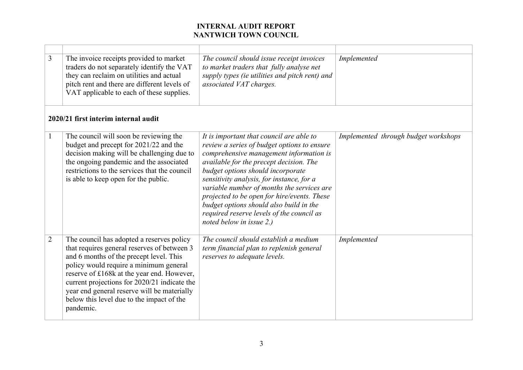| $\overline{3}$ | The invoice receipts provided to market<br>traders do not separately identify the VAT<br>they can reclaim on utilities and actual<br>pitch rent and there are different levels of<br>VAT applicable to each of these supplies.                                                                                                                                                       | The council should issue receipt invoices<br>to market traders that fully analyse net<br>supply types (ie utilities and pitch rent) and<br>associated VAT charges.                                                                                                                                                                                                                                                                                                               | Implemented                          |
|----------------|--------------------------------------------------------------------------------------------------------------------------------------------------------------------------------------------------------------------------------------------------------------------------------------------------------------------------------------------------------------------------------------|----------------------------------------------------------------------------------------------------------------------------------------------------------------------------------------------------------------------------------------------------------------------------------------------------------------------------------------------------------------------------------------------------------------------------------------------------------------------------------|--------------------------------------|
|                | 2020/21 first interim internal audit                                                                                                                                                                                                                                                                                                                                                 |                                                                                                                                                                                                                                                                                                                                                                                                                                                                                  |                                      |
| $\mathbf{1}$   | The council will soon be reviewing the<br>budget and precept for 2021/22 and the<br>decision making will be challenging due to<br>the ongoing pandemic and the associated<br>restrictions to the services that the council<br>is able to keep open for the public.                                                                                                                   | It is important that council are able to<br>review a series of budget options to ensure<br>comprehensive management information is<br>available for the precept decision. The<br>budget options should incorporate<br>sensitivity analysis, for instance, for a<br>variable number of months the services are<br>projected to be open for hire/events. These<br>budget options should also build in the<br>required reserve levels of the council as<br>noted below in issue 2.) | Implemented through budget workshops |
| $\overline{2}$ | The council has adopted a reserves policy<br>that requires general reserves of between 3<br>and 6 months of the precept level. This<br>policy would require a minimum general<br>reserve of £168k at the year end. However,<br>current projections for 2020/21 indicate the<br>year end general reserve will be materially<br>below this level due to the impact of the<br>pandemic. | The council should establish a medium<br>term financial plan to replenish general<br>reserves to adequate levels.                                                                                                                                                                                                                                                                                                                                                                | Implemented                          |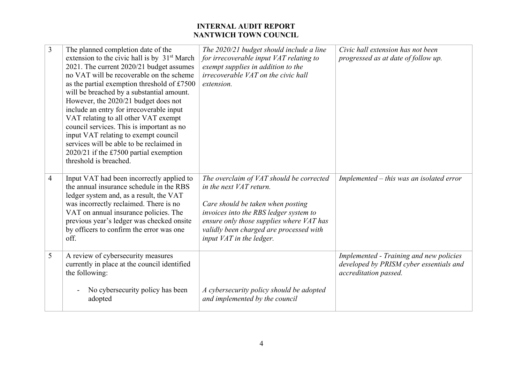| 3              | The planned completion date of the<br>extension to the civic hall is by 31 <sup>st</sup> March<br>2021. The current 2020/21 budget assumes<br>no VAT will be recoverable on the scheme<br>as the partial exemption threshold of £7500<br>will be breached by a substantial amount.<br>However, the 2020/21 budget does not<br>include an entry for irrecoverable input<br>VAT relating to all other VAT exempt<br>council services. This is important as no<br>input VAT relating to exempt council<br>services will be able to be reclaimed in<br>2020/21 if the £7500 partial exemption<br>threshold is breached. | The 2020/21 budget should include a line<br>for irrecoverable input VAT relating to<br>exempt supplies in addition to the<br><i>irrecoverable VAT on the civic hall</i><br>extension.                                                                                 | Civic hall extension has not been<br>progressed as at date of follow up.                                    |
|----------------|---------------------------------------------------------------------------------------------------------------------------------------------------------------------------------------------------------------------------------------------------------------------------------------------------------------------------------------------------------------------------------------------------------------------------------------------------------------------------------------------------------------------------------------------------------------------------------------------------------------------|-----------------------------------------------------------------------------------------------------------------------------------------------------------------------------------------------------------------------------------------------------------------------|-------------------------------------------------------------------------------------------------------------|
| $\overline{4}$ | Input VAT had been incorrectly applied to<br>the annual insurance schedule in the RBS<br>ledger system and, as a result, the VAT<br>was incorrectly reclaimed. There is no<br>VAT on annual insurance policies. The<br>previous year's ledger was checked onsite<br>by officers to confirm the error was one<br>off.                                                                                                                                                                                                                                                                                                | The overclaim of VAT should be corrected<br>in the next VAT return.<br>Care should be taken when posting<br>invoices into the RBS ledger system to<br>ensure only those supplies where VAT has<br>validly been charged are processed with<br>input VAT in the ledger. | Implemented – this was an isolated error                                                                    |
| 5              | A review of cybersecurity measures<br>currently in place at the council identified<br>the following:<br>No cybersecurity policy has been<br>adopted                                                                                                                                                                                                                                                                                                                                                                                                                                                                 | A cybersecurity policy should be adopted<br>and implemented by the council                                                                                                                                                                                            | Implemented - Training and new policies<br>developed by PRISM cyber essentials and<br>accreditation passed. |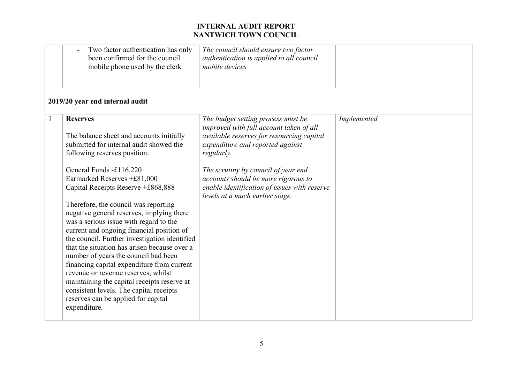|              | Two factor authentication has only<br>been confirmed for the council<br>mobile phone used by the clerk                                                                                                                                                                                                                                                                                                                                                                                                                                                                                                                                                                                                                                                                                            | The council should ensure two factor<br>authentication is applied to all council<br>mobile devices                                                                                                                                                                                                                                            |             |
|--------------|---------------------------------------------------------------------------------------------------------------------------------------------------------------------------------------------------------------------------------------------------------------------------------------------------------------------------------------------------------------------------------------------------------------------------------------------------------------------------------------------------------------------------------------------------------------------------------------------------------------------------------------------------------------------------------------------------------------------------------------------------------------------------------------------------|-----------------------------------------------------------------------------------------------------------------------------------------------------------------------------------------------------------------------------------------------------------------------------------------------------------------------------------------------|-------------|
|              | 2019/20 year end internal audit                                                                                                                                                                                                                                                                                                                                                                                                                                                                                                                                                                                                                                                                                                                                                                   |                                                                                                                                                                                                                                                                                                                                               |             |
| $\mathbf{1}$ | <b>Reserves</b><br>The balance sheet and accounts initially<br>submitted for internal audit showed the<br>following reserves position:<br>General Funds -£116,220<br>Earmarked Reserves +£81,000<br>Capital Receipts Reserve +£868,888<br>Therefore, the council was reporting<br>negative general reserves, implying there<br>was a serious issue with regard to the<br>current and ongoing financial position of<br>the council. Further investigation identified<br>that the situation has arisen because over a<br>number of years the council had been<br>financing capital expenditure from current<br>revenue or revenue reserves, whilst<br>maintaining the capital receipts reserve at<br>consistent levels. The capital receipts<br>reserves can be applied for capital<br>expenditure. | The budget setting process must be<br>improved with full account taken of all<br>available reserves for resourcing capital<br>expenditure and reported against<br>regularly.<br>The scrutiny by council of year end<br>accounts should be more rigorous to<br>enable identification of issues with reserve<br>levels at a much earlier stage. | Implemented |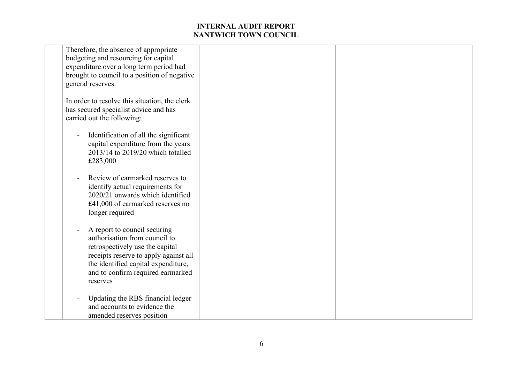| Therefore, the absence of appropriate         |  |
|-----------------------------------------------|--|
| budgeting and resourcing for capital          |  |
| expenditure over a long term period had       |  |
| brought to council to a position of negative  |  |
| general reserves.                             |  |
|                                               |  |
| In order to resolve this situation, the clerk |  |
| has secured specialist advice and has         |  |
| carried out the following:                    |  |
|                                               |  |
|                                               |  |
| Identification of all the significant         |  |
| capital expenditure from the years            |  |
| 2013/14 to 2019/20 which totalled             |  |
| £283,000                                      |  |
|                                               |  |
| Review of earmarked reserves to               |  |
| identify actual requirements for              |  |
| 2020/21 onwards which identified              |  |
| £41,000 of earmarked reserves no              |  |
| longer required                               |  |
|                                               |  |
| A report to council securing                  |  |
| authorisation from council to                 |  |
|                                               |  |
| retrospectively use the capital               |  |
| receipts reserve to apply against all         |  |
| the identified capital expenditure,           |  |
| and to confirm required earmarked             |  |
| reserves                                      |  |
|                                               |  |
| Updating the RBS financial ledger             |  |
| and accounts to evidence the                  |  |
| amended reserves position                     |  |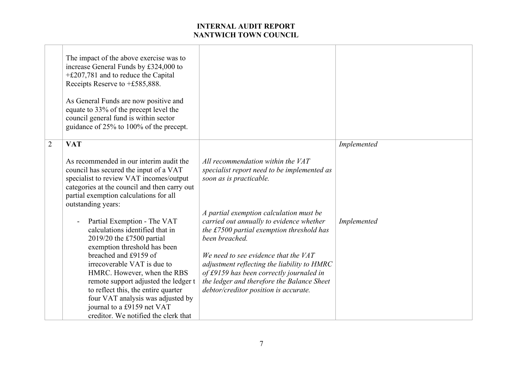|                | The impact of the above exercise was to<br>increase General Funds by £324,000 to<br>$+£207,781$ and to reduce the Capital<br>Receipts Reserve to +£585,888.<br>As General Funds are now positive and<br>equate to 33% of the precept level the<br>council general fund is within sector<br>guidance of 25% to 100% of the precept. |                                                                                                                                                                                                                                             |             |
|----------------|------------------------------------------------------------------------------------------------------------------------------------------------------------------------------------------------------------------------------------------------------------------------------------------------------------------------------------|---------------------------------------------------------------------------------------------------------------------------------------------------------------------------------------------------------------------------------------------|-------------|
| $\overline{2}$ | <b>VAT</b>                                                                                                                                                                                                                                                                                                                         |                                                                                                                                                                                                                                             | Implemented |
|                | As recommended in our interim audit the<br>council has secured the input of a VAT<br>specialist to review VAT incomes/output<br>categories at the council and then carry out<br>partial exemption calculations for all<br>outstanding years:                                                                                       | All recommendation within the VAT<br>specialist report need to be implemented as<br>soon as is practicable.                                                                                                                                 |             |
|                | Partial Exemption - The VAT<br>calculations identified that in<br>2019/20 the £7500 partial<br>exemption threshold has been<br>breached and £9159 of<br>irrecoverable VAT is due to                                                                                                                                                | A partial exemption calculation must be<br>carried out annually to evidence whether<br>the £7500 partial exemption threshold has<br>been breached.<br>We need to see evidence that the $VAT$<br>adjustment reflecting the liability to HMRC | Implemented |
|                | HMRC. However, when the RBS<br>remote support adjusted the ledger t<br>to reflect this, the entire quarter<br>four VAT analysis was adjusted by<br>journal to a £9159 net VAT<br>creditor. We notified the clerk that                                                                                                              | of £9159 has been correctly journaled in<br>the ledger and therefore the Balance Sheet<br>debtor/creditor position is accurate.                                                                                                             |             |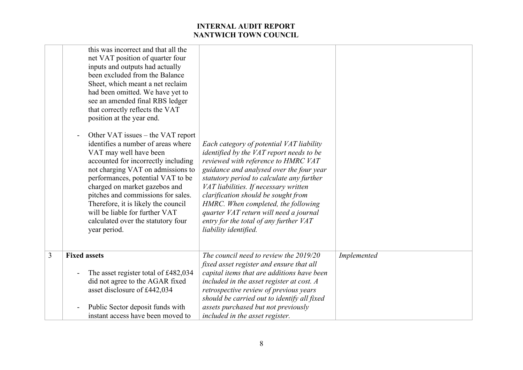|   | this was incorrect and that all the<br>net VAT position of quarter four<br>inputs and outputs had actually<br>been excluded from the Balance<br>Sheet, which meant a net reclaim<br>had been omitted. We have yet to<br>see an amended final RBS ledger<br>that correctly reflects the VAT<br>position at the year end.<br>Other VAT issues – the VAT report<br>identifies a number of areas where<br>VAT may well have been<br>accounted for incorrectly including<br>not charging VAT on admissions to<br>performances, potential VAT to be<br>charged on market gazebos and<br>pitches and commissions for sales.<br>Therefore, it is likely the council<br>will be liable for further VAT<br>calculated over the statutory four<br>year period. | Each category of potential VAT liability<br><i>identified by the VAT report needs to be</i><br>reviewed with reference to HMRC VAT<br>guidance and analysed over the four year<br>statutory period to calculate any further<br>VAT liabilities. If necessary written<br>clarification should be sought from<br>HMRC. When completed, the following<br>quarter VAT return will need a journal<br>entry for the total of any further VAT<br>liability identified. |             |
|---|-----------------------------------------------------------------------------------------------------------------------------------------------------------------------------------------------------------------------------------------------------------------------------------------------------------------------------------------------------------------------------------------------------------------------------------------------------------------------------------------------------------------------------------------------------------------------------------------------------------------------------------------------------------------------------------------------------------------------------------------------------|-----------------------------------------------------------------------------------------------------------------------------------------------------------------------------------------------------------------------------------------------------------------------------------------------------------------------------------------------------------------------------------------------------------------------------------------------------------------|-------------|
| 3 | <b>Fixed assets</b>                                                                                                                                                                                                                                                                                                                                                                                                                                                                                                                                                                                                                                                                                                                                 | The council need to review the 2019/20<br>fixed asset register and ensure that all                                                                                                                                                                                                                                                                                                                                                                              | Implemented |
|   | The asset register total of £482,034                                                                                                                                                                                                                                                                                                                                                                                                                                                                                                                                                                                                                                                                                                                | capital items that are additions have been                                                                                                                                                                                                                                                                                                                                                                                                                      |             |
|   | did not agree to the AGAR fixed<br>asset disclosure of £442,034                                                                                                                                                                                                                                                                                                                                                                                                                                                                                                                                                                                                                                                                                     | included in the asset register at cost. $A$<br>retrospective review of previous years                                                                                                                                                                                                                                                                                                                                                                           |             |
|   |                                                                                                                                                                                                                                                                                                                                                                                                                                                                                                                                                                                                                                                                                                                                                     | should be carried out to identify all fixed                                                                                                                                                                                                                                                                                                                                                                                                                     |             |
|   | Public Sector deposit funds with                                                                                                                                                                                                                                                                                                                                                                                                                                                                                                                                                                                                                                                                                                                    | assets purchased but not previously                                                                                                                                                                                                                                                                                                                                                                                                                             |             |
|   | instant access have been moved to                                                                                                                                                                                                                                                                                                                                                                                                                                                                                                                                                                                                                                                                                                                   | included in the asset register.                                                                                                                                                                                                                                                                                                                                                                                                                                 |             |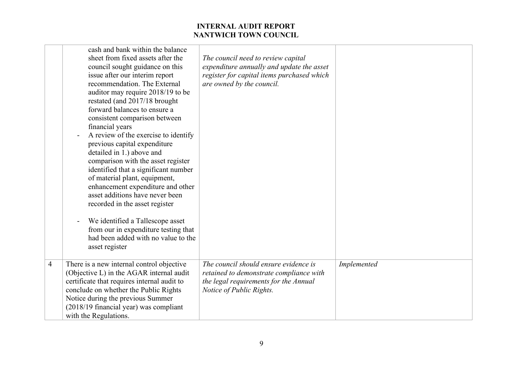|                | cash and bank within the balance<br>sheet from fixed assets after the<br>council sought guidance on this<br>issue after our interim report<br>recommendation. The External<br>auditor may require 2018/19 to be<br>restated (and 2017/18 brought<br>forward balances to ensure a<br>consistent comparison between<br>financial years<br>A review of the exercise to identify<br>previous capital expenditure<br>detailed in 1.) above and<br>comparison with the asset register<br>identified that a significant number<br>of material plant, equipment,<br>enhancement expenditure and other<br>asset additions have never been<br>recorded in the asset register<br>We identified a Tallescope asset<br>from our in expenditure testing that<br>had been added with no value to the<br>asset register | The council need to review capital<br>expenditure annually and update the asset<br>register for capital items purchased which<br>are owned by the council. |             |
|----------------|---------------------------------------------------------------------------------------------------------------------------------------------------------------------------------------------------------------------------------------------------------------------------------------------------------------------------------------------------------------------------------------------------------------------------------------------------------------------------------------------------------------------------------------------------------------------------------------------------------------------------------------------------------------------------------------------------------------------------------------------------------------------------------------------------------|------------------------------------------------------------------------------------------------------------------------------------------------------------|-------------|
| $\overline{4}$ | There is a new internal control objective<br>(Objective L) in the AGAR internal audit<br>certificate that requires internal audit to<br>conclude on whether the Public Rights<br>Notice during the previous Summer<br>(2018/19 financial year) was compliant<br>with the Regulations.                                                                                                                                                                                                                                                                                                                                                                                                                                                                                                                   | The council should ensure evidence is<br>retained to demonstrate compliance with<br>the legal requirements for the Annual<br>Notice of Public Rights.      | Implemented |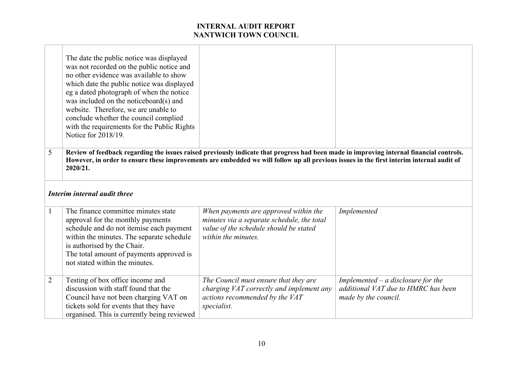|                | The date the public notice was displayed<br>was not recorded on the public notice and<br>no other evidence was available to show<br>which date the public notice was displayed<br>eg a dated photograph of when the notice<br>was included on the noticeboard(s) and<br>website. Therefore, we are unable to<br>conclude whether the council complied<br>with the requirements for the Public Rights<br>Notice for 2018/19. |                                                                                                                                                                                                                                                                                      |                                                                                                     |  |  |
|----------------|-----------------------------------------------------------------------------------------------------------------------------------------------------------------------------------------------------------------------------------------------------------------------------------------------------------------------------------------------------------------------------------------------------------------------------|--------------------------------------------------------------------------------------------------------------------------------------------------------------------------------------------------------------------------------------------------------------------------------------|-----------------------------------------------------------------------------------------------------|--|--|
| 5              | 2020/21.                                                                                                                                                                                                                                                                                                                                                                                                                    | Review of feedback regarding the issues raised previously indicate that progress had been made in improving internal financial controls.<br>However, in order to ensure these improvements are embedded we will follow up all previous issues in the first interim internal audit of |                                                                                                     |  |  |
|                | Interim internal audit three                                                                                                                                                                                                                                                                                                                                                                                                |                                                                                                                                                                                                                                                                                      |                                                                                                     |  |  |
| 1              | The finance committee minutes state<br>approval for the monthly payments<br>schedule and do not itemise each payment<br>within the minutes. The separate schedule<br>is authorised by the Chair.<br>The total amount of payments approved is<br>not stated within the minutes.                                                                                                                                              | When payments are approved within the<br>minutes via a separate schedule, the total<br>value of the schedule should be stated<br>within the minutes.                                                                                                                                 | Implemented                                                                                         |  |  |
| $\overline{2}$ | Testing of box office income and<br>discussion with staff found that the<br>Council have not been charging VAT on<br>tickets sold for events that they have<br>organised. This is currently being reviewed                                                                                                                                                                                                                  | The Council must ensure that they are<br>charging VAT correctly and implement any<br>actions recommended by the VAT<br>specialist.                                                                                                                                                   | Implemented $-$ a disclosure for the<br>additional VAT due to HMRC has been<br>made by the council. |  |  |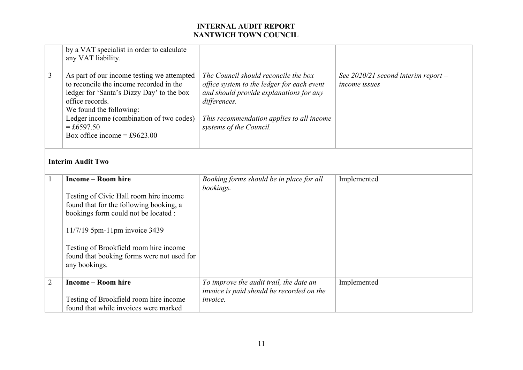|                | by a VAT specialist in order to calculate<br>any VAT liability.                                                                                                                                                                                                                                  |                                                                                                                                                                                                                       |                                                        |  |  |
|----------------|--------------------------------------------------------------------------------------------------------------------------------------------------------------------------------------------------------------------------------------------------------------------------------------------------|-----------------------------------------------------------------------------------------------------------------------------------------------------------------------------------------------------------------------|--------------------------------------------------------|--|--|
| 3              | As part of our income testing we attempted<br>to reconcile the income recorded in the<br>ledger for 'Santa's Dizzy Day' to the box<br>office records.<br>We found the following:<br>Ledger income (combination of two codes)<br>$= £6597.50$<br>Box office income = £9623.00                     | The Council should reconcile the box<br>office system to the ledger for each event<br>and should provide explanations for any<br>differences.<br>This recommendation applies to all income<br>systems of the Council. | See $2020/21$ second interim report -<br>income issues |  |  |
|                | <b>Interim Audit Two</b>                                                                                                                                                                                                                                                                         |                                                                                                                                                                                                                       |                                                        |  |  |
| $\mathbf{1}$   | <b>Income - Room hire</b><br>Testing of Civic Hall room hire income<br>found that for the following booking, a<br>bookings form could not be located :<br>11/7/19 5pm-11pm invoice 3439<br>Testing of Brookfield room hire income<br>found that booking forms were not used for<br>any bookings. | Booking forms should be in place for all<br>bookings.                                                                                                                                                                 | Implemented                                            |  |  |
| $\overline{2}$ | <b>Income - Room hire</b><br>Testing of Brookfield room hire income<br>found that while invoices were marked                                                                                                                                                                                     | To improve the audit trail, the date an<br>invoice is paid should be recorded on the<br>invoice.                                                                                                                      | Implemented                                            |  |  |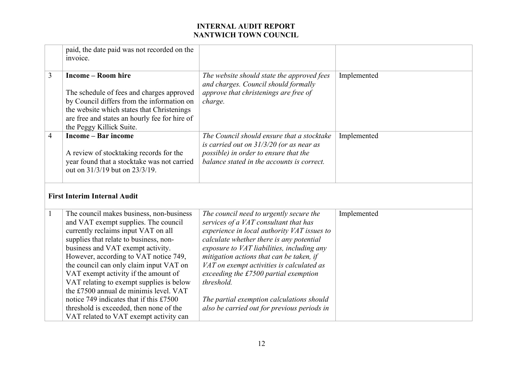|                | paid, the date paid was not recorded on the<br>invoice.                                                                                                                                                                                                                                                                                                                                                                                                                                                                                                  |                                                                                                                                                                                                                                                                                                                                                                                                                                                                       |             |
|----------------|----------------------------------------------------------------------------------------------------------------------------------------------------------------------------------------------------------------------------------------------------------------------------------------------------------------------------------------------------------------------------------------------------------------------------------------------------------------------------------------------------------------------------------------------------------|-----------------------------------------------------------------------------------------------------------------------------------------------------------------------------------------------------------------------------------------------------------------------------------------------------------------------------------------------------------------------------------------------------------------------------------------------------------------------|-------------|
| $\overline{3}$ | <b>Income – Room hire</b><br>The schedule of fees and charges approved<br>by Council differs from the information on<br>the website which states that Christenings<br>are free and states an hourly fee for hire of<br>the Peggy Killick Suite.                                                                                                                                                                                                                                                                                                          | The website should state the approved fees<br>and charges. Council should formally<br>approve that christenings are free of<br>charge.                                                                                                                                                                                                                                                                                                                                | Implemented |
| $\overline{4}$ | <b>Income</b> – Bar income<br>A review of stocktaking records for the<br>year found that a stocktake was not carried<br>out on 31/3/19 but on 23/3/19.                                                                                                                                                                                                                                                                                                                                                                                                   | The Council should ensure that a stocktake<br>is carried out on $31/3/20$ (or as near as<br>possible) in order to ensure that the<br>balance stated in the accounts is correct.                                                                                                                                                                                                                                                                                       | Implemented |
|                | <b>First Interim Internal Audit</b>                                                                                                                                                                                                                                                                                                                                                                                                                                                                                                                      |                                                                                                                                                                                                                                                                                                                                                                                                                                                                       |             |
| $\mathbf{1}$   | The council makes business, non-business<br>and VAT exempt supplies. The council<br>currently reclaims input VAT on all<br>supplies that relate to business, non-<br>business and VAT exempt activity.<br>However, according to VAT notice 749,<br>the council can only claim input VAT on<br>VAT exempt activity if the amount of<br>VAT relating to exempt supplies is below<br>the £7500 annual de minimis level. VAT<br>notice 749 indicates that if this £7500<br>threshold is exceeded, then none of the<br>VAT related to VAT exempt activity can | The council need to urgently secure the<br>services of a VAT consultant that has<br>experience in local authority VAT issues to<br>calculate whether there is any potential<br>exposure to VAT liabilities, including any<br>mitigation actions that can be taken, if<br>VAT on exempt activities is calculated as<br>exceeding the £7500 partial exemption<br>threshold.<br>The partial exemption calculations should<br>also be carried out for previous periods in | Implemented |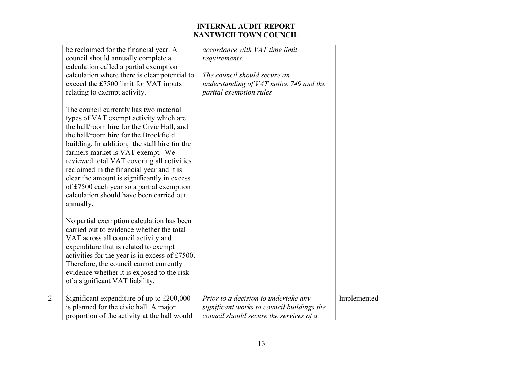|                | be reclaimed for the financial year. A<br>council should annually complete a<br>calculation called a partial exemption<br>calculation where there is clear potential to<br>exceed the £7500 limit for VAT inputs<br>relating to exempt activity.                                                                                                                                                                                                                                                             | accordance with VAT time limit<br>requirements.<br>The council should secure an<br>understanding of VAT notice 749 and the<br>partial exemption rules |             |
|----------------|--------------------------------------------------------------------------------------------------------------------------------------------------------------------------------------------------------------------------------------------------------------------------------------------------------------------------------------------------------------------------------------------------------------------------------------------------------------------------------------------------------------|-------------------------------------------------------------------------------------------------------------------------------------------------------|-------------|
|                | The council currently has two material<br>types of VAT exempt activity which are<br>the hall/room hire for the Civic Hall, and<br>the hall/room hire for the Brookfield<br>building. In addition, the stall hire for the<br>farmers market is VAT exempt. We<br>reviewed total VAT covering all activities<br>reclaimed in the financial year and it is<br>clear the amount is significantly in excess<br>of £7500 each year so a partial exemption<br>calculation should have been carried out<br>annually. |                                                                                                                                                       |             |
|                | No partial exemption calculation has been<br>carried out to evidence whether the total<br>VAT across all council activity and<br>expenditure that is related to exempt<br>activities for the year is in excess of £7500.<br>Therefore, the council cannot currently<br>evidence whether it is exposed to the risk<br>of a significant VAT liability.                                                                                                                                                         |                                                                                                                                                       |             |
| $\overline{2}$ | Significant expenditure of up to £200,000<br>is planned for the civic hall. A major<br>proportion of the activity at the hall would                                                                                                                                                                                                                                                                                                                                                                          | Prior to a decision to undertake any<br>significant works to council buildings the<br>council should secure the services of a                         | Implemented |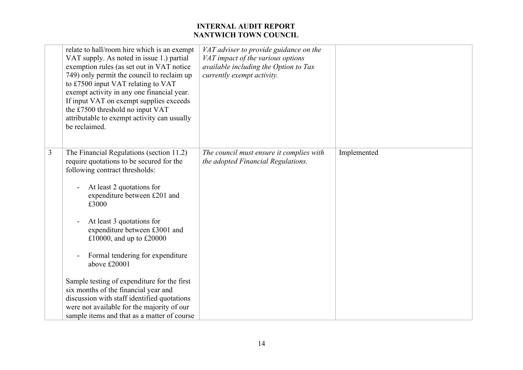|   | relate to hall/room hire which is an exempt<br>VAT supply. As noted in issue 1.) partial<br>exemption rules (as set out in VAT notice<br>749) only permit the council to reclaim up<br>to £7500 input VAT relating to VAT<br>exempt activity in any one financial year.<br>If input VAT on exempt supplies exceeds<br>the £7500 threshold no input VAT<br>attributable to exempt activity can usually<br>be reclaimed. | VAT adviser to provide guidance on the<br>VAT impact of the various options<br>available including the Option to Tax<br>currently exempt activity. |             |
|---|------------------------------------------------------------------------------------------------------------------------------------------------------------------------------------------------------------------------------------------------------------------------------------------------------------------------------------------------------------------------------------------------------------------------|----------------------------------------------------------------------------------------------------------------------------------------------------|-------------|
| 3 | The Financial Regulations (section 11.2)<br>require quotations to be secured for the<br>following contract thresholds:<br>At least 2 quotations for<br>expenditure between £201 and<br>£3000<br>At least 3 quotations for<br>expenditure between £3001 and<br>£10000, and up to £20000<br>Formal tendering for expenditure<br>above £20001                                                                             | The council must ensure it complies with<br>the adopted Financial Regulations.                                                                     | Implemented |
|   | Sample testing of expenditure for the first<br>six months of the financial year and<br>discussion with staff identified quotations<br>were not available for the majority of our<br>sample items and that as a matter of course                                                                                                                                                                                        |                                                                                                                                                    |             |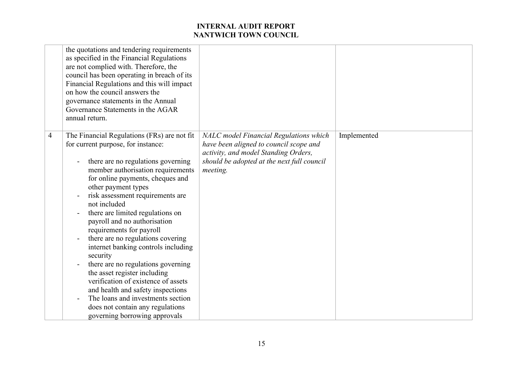|   | the quotations and tendering requirements<br>as specified in the Financial Regulations<br>are not complied with. Therefore, the<br>council has been operating in breach of its<br>Financial Regulations and this will impact<br>on how the council answers the<br>governance statements in the Annual<br>Governance Statements in the AGAR<br>annual return.                                                                                                                                                                                                                                                                                                                                                                    |                                                                                                                                                                                    |             |
|---|---------------------------------------------------------------------------------------------------------------------------------------------------------------------------------------------------------------------------------------------------------------------------------------------------------------------------------------------------------------------------------------------------------------------------------------------------------------------------------------------------------------------------------------------------------------------------------------------------------------------------------------------------------------------------------------------------------------------------------|------------------------------------------------------------------------------------------------------------------------------------------------------------------------------------|-------------|
| 4 | The Financial Regulations (FRs) are not fit<br>for current purpose, for instance:<br>there are no regulations governing<br>member authorisation requirements<br>for online payments, cheques and<br>other payment types<br>risk assessment requirements are<br>not included<br>there are limited regulations on<br>payroll and no authorisation<br>requirements for payroll<br>there are no regulations covering<br>internet banking controls including<br>security<br>there are no regulations governing<br>the asset register including<br>verification of existence of assets<br>and health and safety inspections<br>The loans and investments section<br>does not contain any regulations<br>governing borrowing approvals | NALC model Financial Regulations which<br>have been aligned to council scope and<br>activity, and model Standing Orders,<br>should be adopted at the next full council<br>meeting. | Implemented |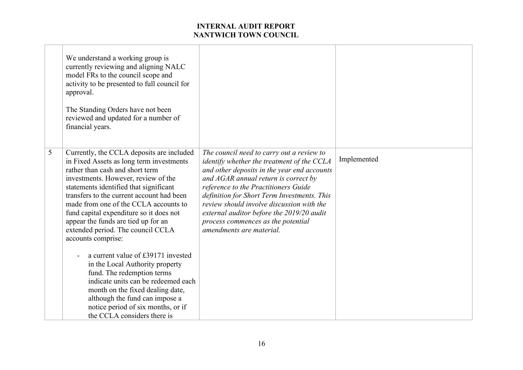|   | We understand a working group is<br>currently reviewing and aligning NALC<br>model FRs to the council scope and<br>activity to be presented to full council for<br>approval.<br>The Standing Orders have not been<br>reviewed and updated for a number of<br>financial years.                                                                                                                                                                                                                                                                                                                                                                                                                                                         |                                                                                                                                                                                                                                                                                                                                                                                                                                   |             |
|---|---------------------------------------------------------------------------------------------------------------------------------------------------------------------------------------------------------------------------------------------------------------------------------------------------------------------------------------------------------------------------------------------------------------------------------------------------------------------------------------------------------------------------------------------------------------------------------------------------------------------------------------------------------------------------------------------------------------------------------------|-----------------------------------------------------------------------------------------------------------------------------------------------------------------------------------------------------------------------------------------------------------------------------------------------------------------------------------------------------------------------------------------------------------------------------------|-------------|
| 5 | Currently, the CCLA deposits are included<br>in Fixed Assets as long term investments<br>rather than cash and short term<br>investments. However, review of the<br>statements identified that significant<br>transfers to the current account had been<br>made from one of the CCLA accounts to<br>fund capital expenditure so it does not<br>appear the funds are tied up for an<br>extended period. The council CCLA<br>accounts comprise:<br>a current value of £39171 invested<br>in the Local Authority property<br>fund. The redemption terms<br>indicate units can be redeemed each<br>month on the fixed dealing date,<br>although the fund can impose a<br>notice period of six months, or if<br>the CCLA considers there is | The council need to carry out a review to<br>identify whether the treatment of the CCLA<br>and other deposits in the year end accounts<br>and AGAR annual return is correct by<br>reference to the Practitioners Guide<br>definition for Short Term Investments. This<br>review should involve discussion with the<br>external auditor before the 2019/20 audit<br>process commences as the potential<br>amendments are material. | Implemented |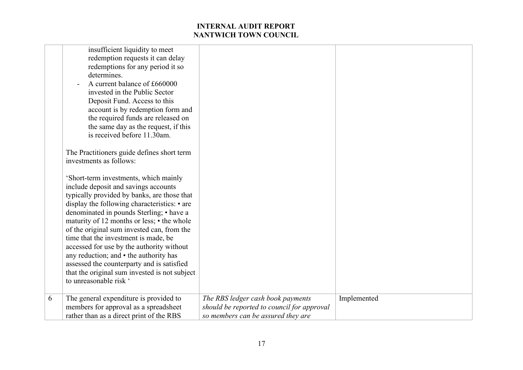|   | insufficient liquidity to meet<br>redemption requests it can delay<br>redemptions for any period it so<br>determines.<br>A current balance of £660000<br>invested in the Public Sector<br>Deposit Fund. Access to this<br>account is by redemption form and<br>the required funds are released on<br>the same day as the request, if this<br>is received before 11.30am.                                                                                                                                                                                                     |                                                                                                                       |             |
|---|------------------------------------------------------------------------------------------------------------------------------------------------------------------------------------------------------------------------------------------------------------------------------------------------------------------------------------------------------------------------------------------------------------------------------------------------------------------------------------------------------------------------------------------------------------------------------|-----------------------------------------------------------------------------------------------------------------------|-------------|
|   | The Practitioners guide defines short term<br>investments as follows:                                                                                                                                                                                                                                                                                                                                                                                                                                                                                                        |                                                                                                                       |             |
|   | 'Short-term investments, which mainly<br>include deposit and savings accounts<br>typically provided by banks, are those that<br>display the following characteristics: • are<br>denominated in pounds Sterling; • have a<br>maturity of 12 months or less; • the whole<br>of the original sum invested can, from the<br>time that the investment is made, be<br>accessed for use by the authority without<br>any reduction; and • the authority has<br>assessed the counterparty and is satisfied<br>that the original sum invested is not subject<br>to unreasonable risk ' |                                                                                                                       |             |
| 6 | The general expenditure is provided to<br>members for approval as a spreadsheet<br>rather than as a direct print of the RBS                                                                                                                                                                                                                                                                                                                                                                                                                                                  | The RBS ledger cash book payments<br>should be reported to council for approval<br>so members can be assured they are | Implemented |
|   |                                                                                                                                                                                                                                                                                                                                                                                                                                                                                                                                                                              |                                                                                                                       |             |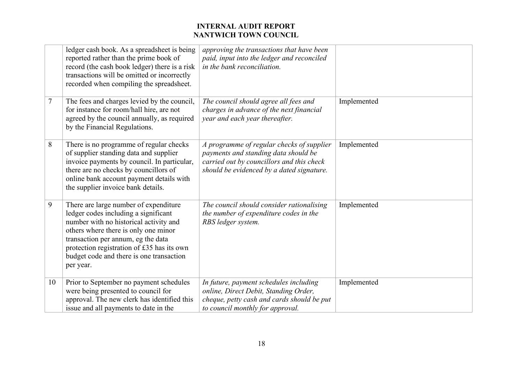|        | ledger cash book. As a spreadsheet is being<br>reported rather than the prime book of<br>record (the cash book ledger) there is a risk<br>transactions will be omitted or incorrectly<br>recorded when compiling the spreadsheet.                                                                            | approving the transactions that have been<br>paid, input into the ledger and reconciled<br>in the bank reconciliation.                                                      |             |
|--------|--------------------------------------------------------------------------------------------------------------------------------------------------------------------------------------------------------------------------------------------------------------------------------------------------------------|-----------------------------------------------------------------------------------------------------------------------------------------------------------------------------|-------------|
| $\tau$ | The fees and charges levied by the council,<br>for instance for room/hall hire, are not<br>agreed by the council annually, as required<br>by the Financial Regulations.                                                                                                                                      | The council should agree all fees and<br>charges in advance of the next financial<br>year and each year thereafter.                                                         | Implemented |
| 8      | There is no programme of regular checks<br>of supplier standing data and supplier<br>invoice payments by council. In particular,<br>there are no checks by councillors of<br>online bank account payment details with<br>the supplier invoice bank details.                                                  | A programme of regular checks of supplier<br>payments and standing data should be<br>carried out by councillors and this check<br>should be evidenced by a dated signature. | Implemented |
| 9      | There are large number of expenditure<br>ledger codes including a significant<br>number with no historical activity and<br>others where there is only one minor<br>transaction per annum, eg the data<br>protection registration of £35 has its own<br>budget code and there is one transaction<br>per year. | The council should consider rationalising<br>the number of expenditure codes in the<br>RBS ledger system.                                                                   | Implemented |
| 10     | Prior to September no payment schedules<br>were being presented to council for<br>approval. The new clerk has identified this<br>issue and all payments to date in the                                                                                                                                       | In future, payment schedules including<br>online, Direct Debit, Standing Order,<br>cheque, petty cash and cards should be put<br>to council monthly for approval.           | Implemented |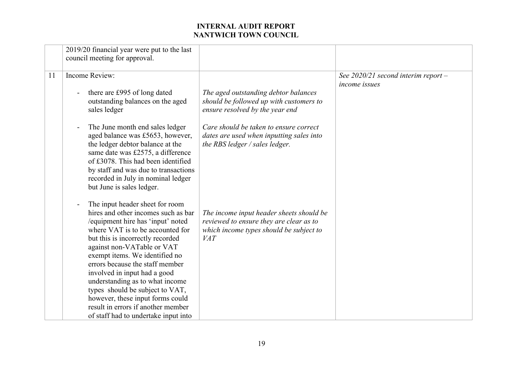|    | 2019/20 financial year were put to the last<br>council meeting for approval.                                                                                                                                                                                                                                                                                                                                                                                                |                                                                                                                                              |                                                        |
|----|-----------------------------------------------------------------------------------------------------------------------------------------------------------------------------------------------------------------------------------------------------------------------------------------------------------------------------------------------------------------------------------------------------------------------------------------------------------------------------|----------------------------------------------------------------------------------------------------------------------------------------------|--------------------------------------------------------|
| 11 | Income Review:<br>there are £995 of long dated<br>outstanding balances on the aged<br>sales ledger                                                                                                                                                                                                                                                                                                                                                                          | The aged outstanding debtor balances<br>should be followed up with customers to<br>ensure resolved by the year end                           | See $2020/21$ second interim report -<br>income issues |
|    | The June month end sales ledger<br>aged balance was £5653, however,<br>the ledger debtor balance at the<br>same date was £2575, a difference<br>of £3078. This had been identified<br>by staff and was due to transactions<br>recorded in July in nominal ledger<br>but June is sales ledger.<br>The input header sheet for room                                                                                                                                            | Care should be taken to ensure correct<br>dates are used when inputting sales into<br>the RBS ledger / sales ledger.                         |                                                        |
|    | hires and other incomes such as bar<br>/equipment hire has 'input' noted<br>where VAT is to be accounted for<br>but this is incorrectly recorded<br>against non-VATable or VAT<br>exempt items. We identified no<br>errors because the staff member<br>involved in input had a good<br>understanding as to what income<br>types should be subject to VAT,<br>however, these input forms could<br>result in errors if another member<br>of staff had to undertake input into | The income input header sheets should be<br>reviewed to ensure they are clear as to<br>which income types should be subject to<br><b>VAT</b> |                                                        |